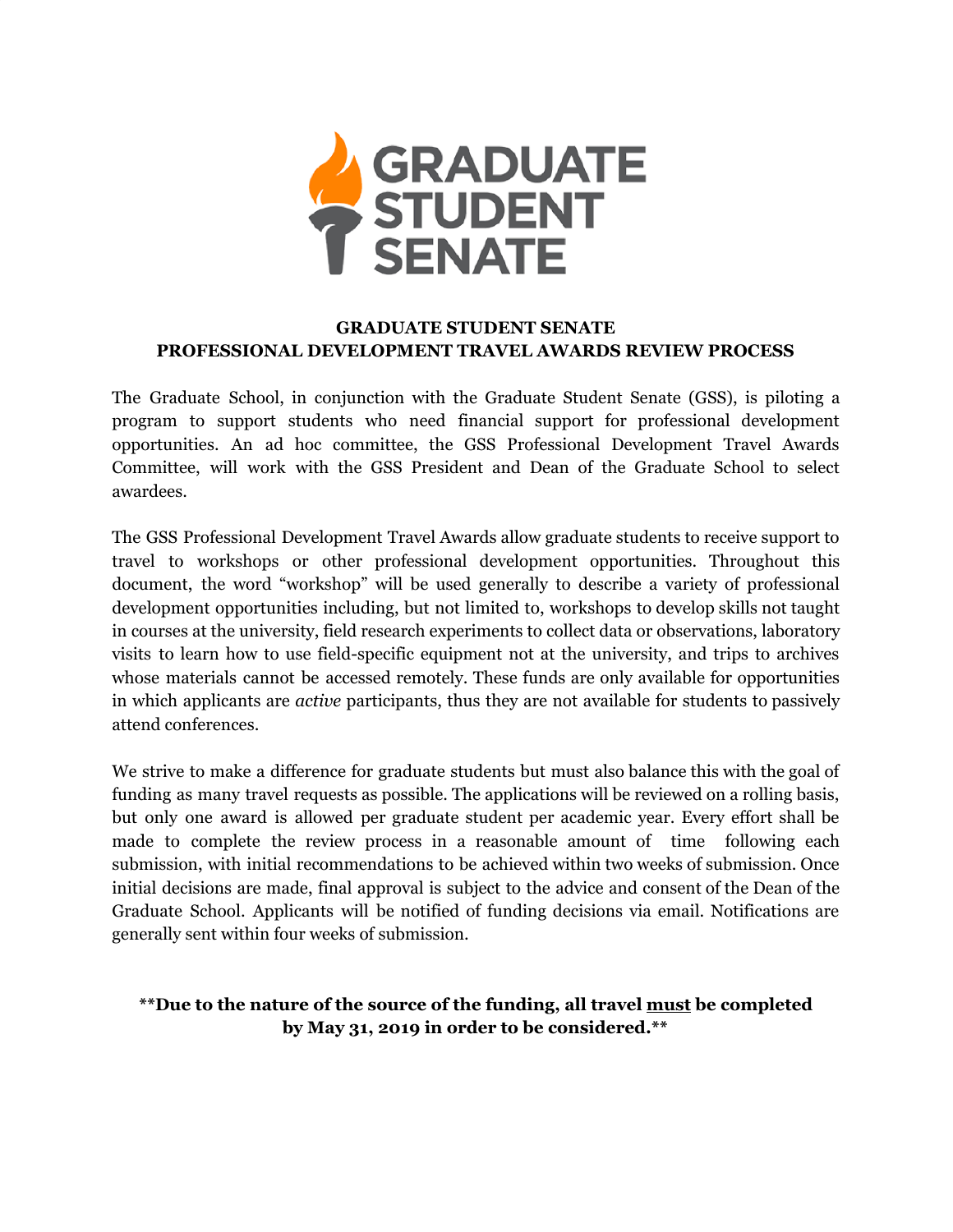

## **GRADUATE STUDENT SENATE PROFESSIONAL DEVELOPMENT TRAVEL AWARDS REVIEW PROCESS**

The Graduate School, in conjunction with the Graduate Student Senate (GSS), is piloting a program to support students who need financial support for professional development opportunities. An ad hoc committee, the GSS Professional Development Travel Awards Committee, will work with the GSS President and Dean of the Graduate School to select awardees.

The GSS Professional Development Travel Awards allow graduate students to receive support to travel to workshops or other professional development opportunities. Throughout this document, the word "workshop" will be used generally to describe a variety of professional development opportunities including, but not limited to, workshops to develop skills not taught in courses at the university, field research experiments to collect data or observations, laboratory visits to learn how to use field-specific equipment not at the university, and trips to archives whose materials cannot be accessed remotely. These funds are only available for opportunities in which applicants are *active* participants, thus they are not available for students to passively attend conferences.

We strive to make a difference for graduate students but must also balance this with the goal of funding as many travel requests as possible. The applications will be reviewed on a rolling basis, but only one award is allowed per graduate student per academic year. Every effort shall be made to complete the review process in a reasonable amount of time following each submission, with initial recommendations to be achieved within two weeks of submission. Once initial decisions are made, final approval is subject to the advice and consent of the Dean of the Graduate School. Applicants will be notified of funding decisions via email. Notifications are generally sent within four weeks of submission.

# **\*\*Due to the nature of the source of the funding, all travel must be completed by May 31, 2019 in order to be considered.\*\***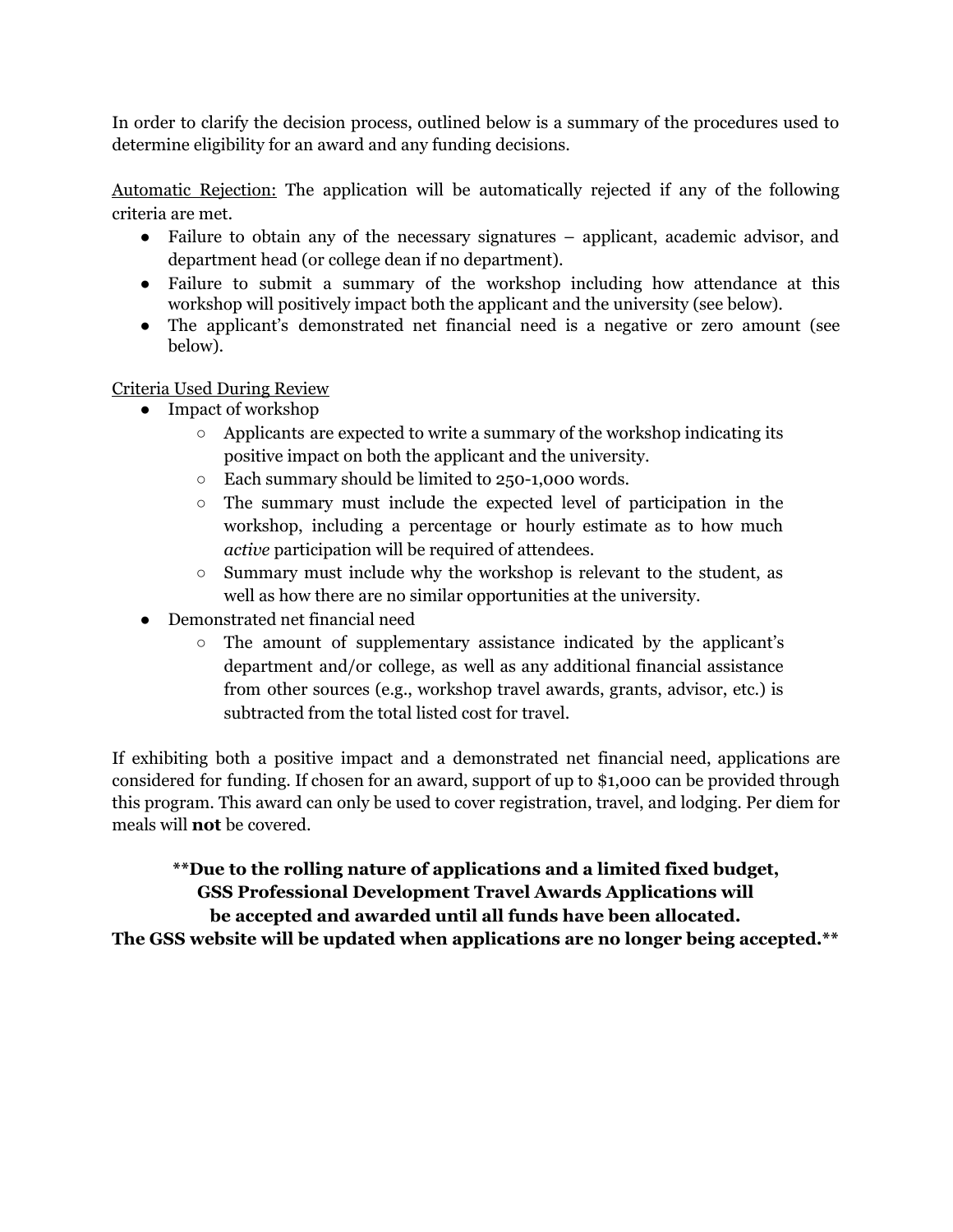In order to clarify the decision process, outlined below is a summary of the procedures used to determine eligibility for an award and any funding decisions.

Automatic Rejection: The application will be automatically rejected if any of the following criteria are met.

- Failure to obtain any of the necessary signatures applicant, academic advisor, and department head (or college dean if no department).
- Failure to submit a summary of the workshop including how attendance at this workshop will positively impact both the applicant and the university (see below).
- The applicant's demonstrated net financial need is a negative or zero amount (see below).

Criteria Used During Review

- Impact of workshop
	- Applicants are expected to write a summary of the workshop indicating its positive impact on both the applicant and the university.
	- Each summary should be limited to 250-1,000 words.
	- The summary must include the expected level of participation in the workshop, including a percentage or hourly estimate as to how much *active* participation will be required of attendees.
	- Summary must include why the workshop is relevant to the student, as well as how there are no similar opportunities at the university.
- Demonstrated net financial need
	- The amount of supplementary assistance indicated by the applicant's department and/or college, as well as any additional financial assistance from other sources (e.g., workshop travel awards, grants, advisor, etc.) is subtracted from the total listed cost for travel.

If exhibiting both a positive impact and a demonstrated net financial need, applications are considered for funding. If chosen for an award, support of up to \$1,000 can be provided through this program. This award can only be used to cover registration, travel, and lodging. Per diem for meals will **not** be covered.

**\*\*Due to the rolling nature of applications and a limited fixed budget, GSS Professional Development Travel Awards Applications will be accepted and awarded until all funds have been allocated.**

**The GSS website will be updated when applications are no longer being accepted.\*\***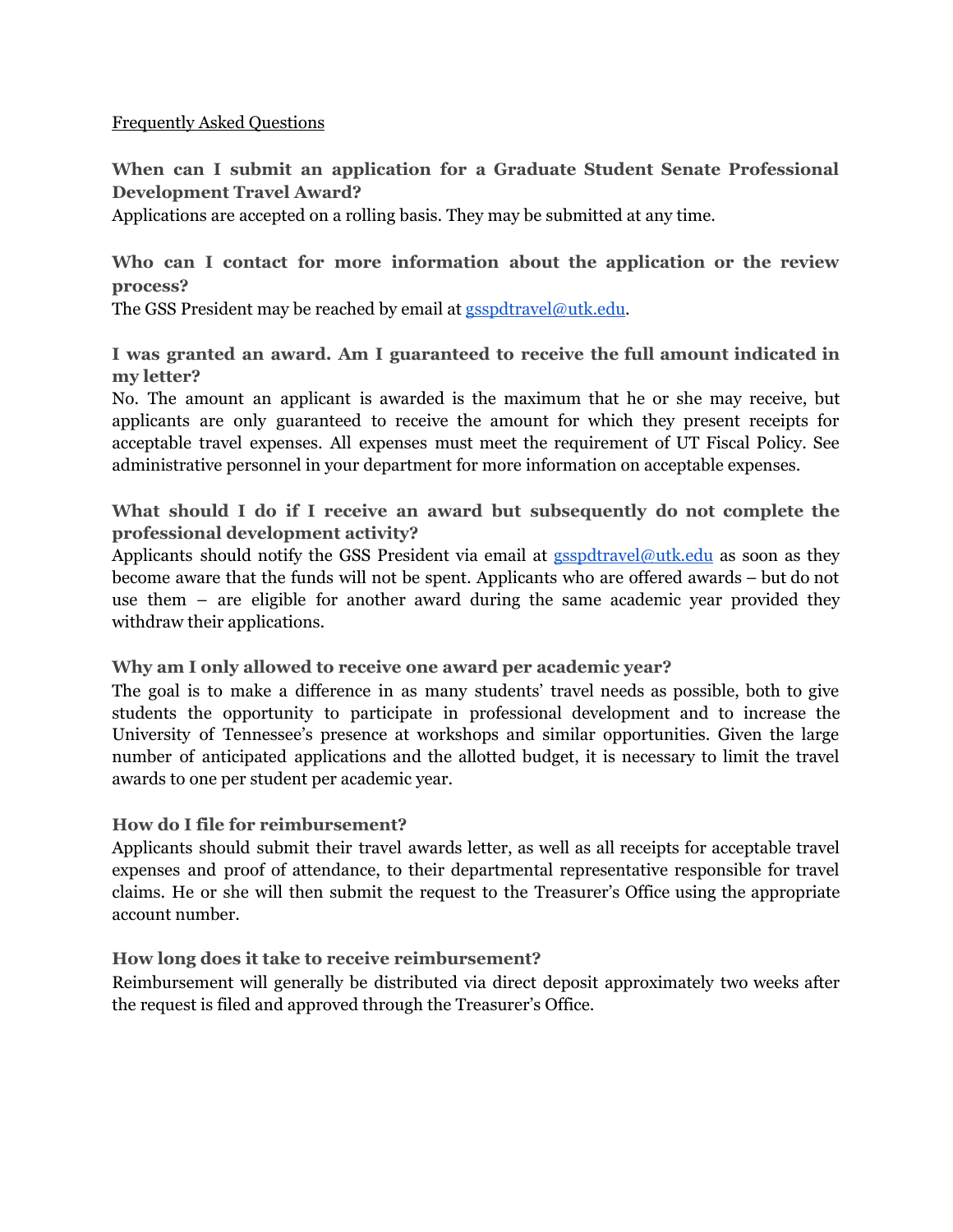#### Frequently Asked Questions

**When can I submit an application for a Graduate Student Senate Professional Development Travel Award?**

Applications are accepted on a rolling basis. They may be submitted at any time.

## **Who can I contact for more information about the application or the review process?**

The GSS President may be reached by email at  $\frac{gspdfravel@utk.edu.}{%$ 

**I was granted an award. Am I guaranteed to receive the full amount indicated in my letter?**

No. The amount an applicant is awarded is the maximum that he or she may receive, but applicants are only guaranteed to receive the amount for which they present receipts for acceptable travel expenses. All expenses must meet the requirement of UT Fiscal Policy. See administrative personnel in your department for more information on acceptable expenses.

## **What should I do if I receive an award but subsequently do not complete the professional development activity?**

Applicants should notify the GSS President via email at **[gsspdtravel@utk.edu](mailto:gsspdtravel@utk.edu)** as soon as they become aware that the funds will not be spent. Applicants who are offered awards – but do not use them – are eligible for another award during the same academic year provided they withdraw their applications.

### **Why am I only allowed to receive one award per academic year?**

The goal is to make a difference in as many students' travel needs as possible, both to give students the opportunity to participate in professional development and to increase the University of Tennessee's presence at workshops and similar opportunities. Given the large number of anticipated applications and the allotted budget, it is necessary to limit the travel awards to one per student per academic year.

### **How do I file for reimbursement?**

Applicants should submit their travel awards letter, as well as all receipts for acceptable travel expenses and proof of attendance, to their departmental representative responsible for travel claims. He or she will then submit the request to the Treasurer's Office using the appropriate account number.

### **How long does it take to receive reimbursement?**

Reimbursement will generally be distributed via direct deposit approximately two weeks after the request is filed and approved through the Treasurer's Office.